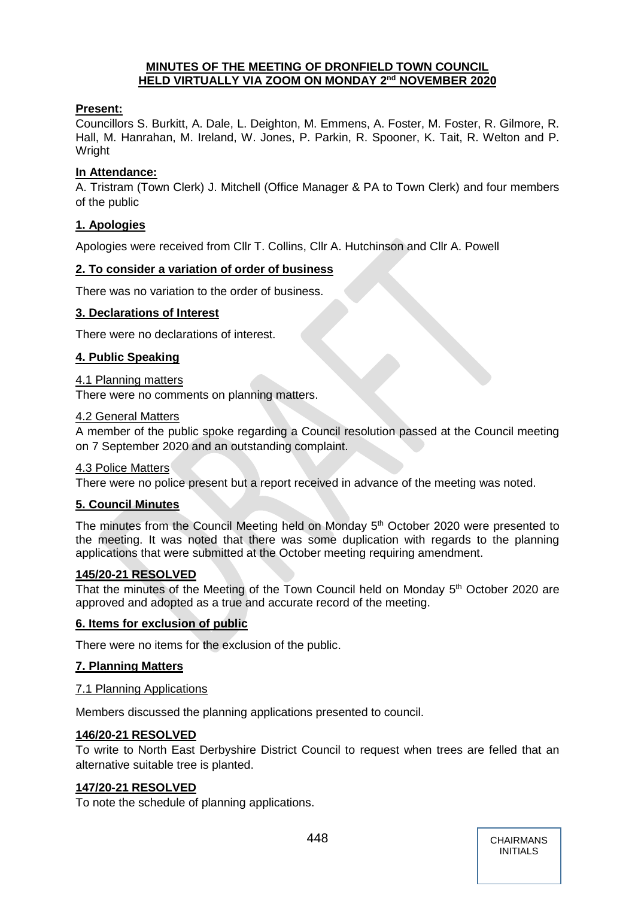## **MINUTES OF THE MEETING OF DRONFIELD TOWN COUNCIL HELD VIRTUALLY VIA ZOOM ON MONDAY 2 nd NOVEMBER 2020**

## **Present:**

Councillors S. Burkitt, A. Dale, L. Deighton, M. Emmens, A. Foster, M. Foster, R. Gilmore, R. Hall, M. Hanrahan, M. Ireland, W. Jones, P. Parkin, R. Spooner, K. Tait, R. Welton and P. Wright

## **In Attendance:**

A. Tristram (Town Clerk) J. Mitchell (Office Manager & PA to Town Clerk) and four members of the public

## **1. Apologies**

Apologies were received from Cllr T. Collins, Cllr A. Hutchinson and Cllr A. Powell

## **2. To consider a variation of order of business**

There was no variation to the order of business.

## **3. Declarations of Interest**

There were no declarations of interest.

## **4. Public Speaking**

## 4.1 Planning matters

There were no comments on planning matters.

## 4.2 General Matters

A member of the public spoke regarding a Council resolution passed at the Council meeting on 7 September 2020 and an outstanding complaint.

## 4.3 Police Matters

There were no police present but a report received in advance of the meeting was noted.

## **5. Council Minutes**

The minutes from the Council Meeting held on Monday 5<sup>th</sup> October 2020 were presented to the meeting. It was noted that there was some duplication with regards to the planning applications that were submitted at the October meeting requiring amendment.

## **145/20-21 RESOLVED**

That the minutes of the Meeting of the Town Council held on Monday 5<sup>th</sup> October 2020 are approved and adopted as a true and accurate record of the meeting.

## **6. Items for exclusion of public**

There were no items for the exclusion of the public.

## **7. Planning Matters**

#### 7.1 Planning Applications

Members discussed the planning applications presented to council.

## **146/20-21 RESOLVED**

To write to North East Derbyshire District Council to request when trees are felled that an alternative suitable tree is planted.

## **147/20-21 RESOLVED**

To note the schedule of planning applications.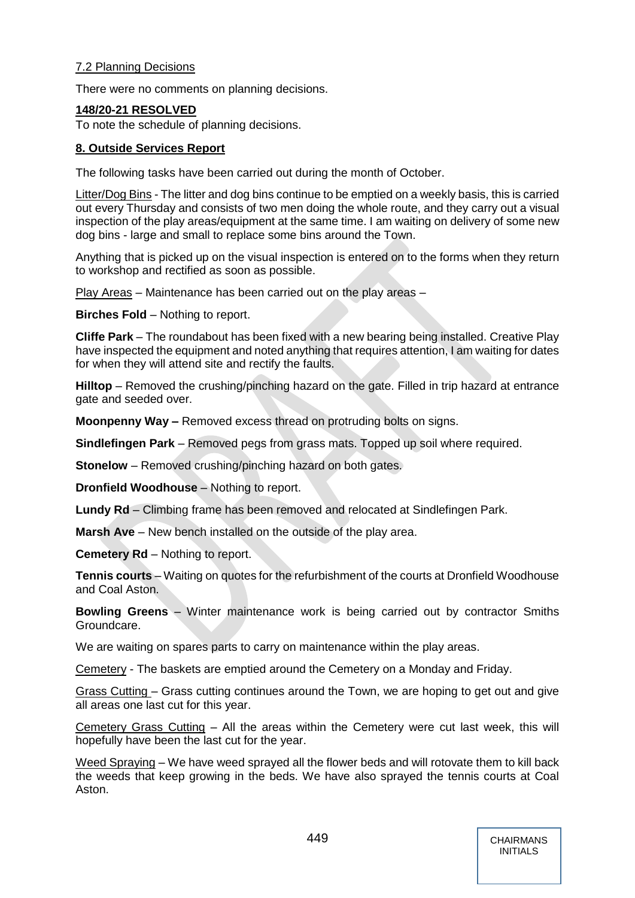## 7.2 Planning Decisions

There were no comments on planning decisions.

## **148/20-21 RESOLVED**

To note the schedule of planning decisions.

#### **8. Outside Services Report**

The following tasks have been carried out during the month of October.

Litter/Dog Bins - The litter and dog bins continue to be emptied on a weekly basis, this is carried out every Thursday and consists of two men doing the whole route, and they carry out a visual inspection of the play areas/equipment at the same time. I am waiting on delivery of some new dog bins - large and small to replace some bins around the Town.

Anything that is picked up on the visual inspection is entered on to the forms when they return to workshop and rectified as soon as possible.

Play Areas – Maintenance has been carried out on the play areas –

**Birches Fold** – Nothing to report.

**Cliffe Park** – The roundabout has been fixed with a new bearing being installed. Creative Play have inspected the equipment and noted anything that requires attention, I am waiting for dates for when they will attend site and rectify the faults.

Hilltop – Removed the crushing/pinching hazard on the gate. Filled in trip hazard at entrance gate and seeded over.

**Moonpenny Way –** Removed excess thread on protruding bolts on signs.

**Sindlefingen Park** – Removed pegs from grass mats. Topped up soil where required.

**Stonelow** – Removed crushing/pinching hazard on both gates.

**Dronfield Woodhouse** – Nothing to report.

**Lundy Rd** – Climbing frame has been removed and relocated at Sindlefingen Park.

**Marsh Ave** – New bench installed on the outside of the play area.

**Cemetery Rd** – Nothing to report.

**Tennis courts** – Waiting on quotes for the refurbishment of the courts at Dronfield Woodhouse and Coal Aston.

**Bowling Greens** – Winter maintenance work is being carried out by contractor Smiths Groundcare.

We are waiting on spares parts to carry on maintenance within the play areas.

Cemetery - The baskets are emptied around the Cemetery on a Monday and Friday.

Grass Cutting – Grass cutting continues around the Town, we are hoping to get out and give all areas one last cut for this year.

Cemetery Grass Cutting – All the areas within the Cemetery were cut last week, this will hopefully have been the last cut for the year.

Weed Spraying – We have weed sprayed all the flower beds and will rotovate them to kill back the weeds that keep growing in the beds. We have also sprayed the tennis courts at Coal Aston.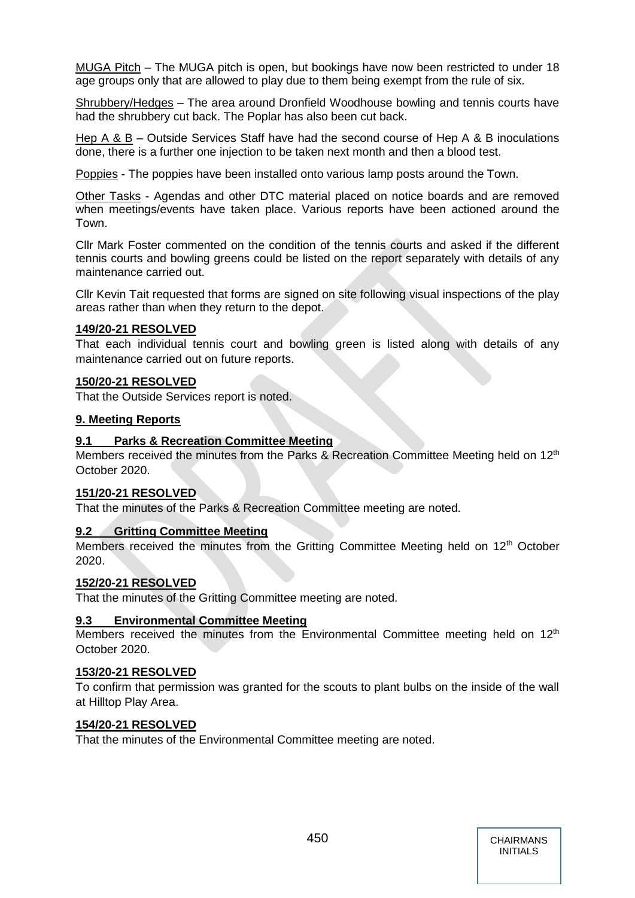MUGA Pitch – The MUGA pitch is open, but bookings have now been restricted to under 18 age groups only that are allowed to play due to them being exempt from the rule of six.

Shrubbery/Hedges – The area around Dronfield Woodhouse bowling and tennis courts have had the shrubbery cut back. The Poplar has also been cut back.

Hep A & B – Outside Services Staff have had the second course of Hep A & B inoculations done, there is a further one injection to be taken next month and then a blood test.

Poppies - The poppies have been installed onto various lamp posts around the Town.

Other Tasks - Agendas and other DTC material placed on notice boards and are removed when meetings/events have taken place. Various reports have been actioned around the Town.

Cllr Mark Foster commented on the condition of the tennis courts and asked if the different tennis courts and bowling greens could be listed on the report separately with details of any maintenance carried out.

Cllr Kevin Tait requested that forms are signed on site following visual inspections of the play areas rather than when they return to the depot.

#### **149/20-21 RESOLVED**

That each individual tennis court and bowling green is listed along with details of any maintenance carried out on future reports.

#### **150/20-21 RESOLVED**

That the Outside Services report is noted.

#### **9. Meeting Reports**

#### **9.1 Parks & Recreation Committee Meeting**

Members received the minutes from the Parks & Recreation Committee Meeting held on 12<sup>th</sup> October 2020.

#### **151/20-21 RESOLVED**

That the minutes of the Parks & Recreation Committee meeting are noted.

## **9.2 Gritting Committee Meeting**

Members received the minutes from the Gritting Committee Meeting held on 12<sup>th</sup> October 2020.

#### **152/20-21 RESOLVED**

That the minutes of the Gritting Committee meeting are noted.

## **9.3 Environmental Committee Meeting**

Members received the minutes from the Environmental Committee meeting held on 12<sup>th</sup> October 2020.

## **153/20-21 RESOLVED**

To confirm that permission was granted for the scouts to plant bulbs on the inside of the wall at Hilltop Play Area.

#### **154/20-21 RESOLVED**

That the minutes of the Environmental Committee meeting are noted.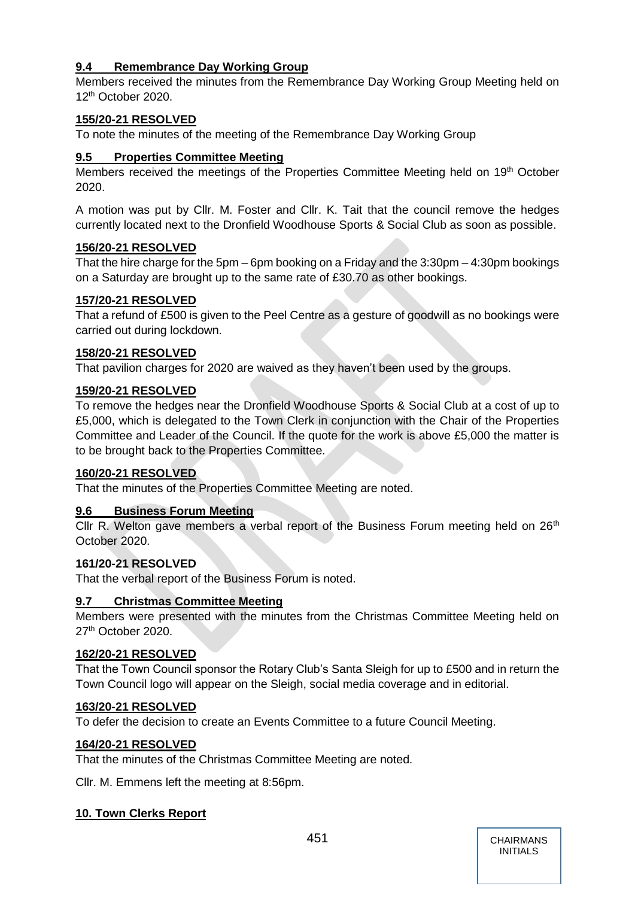# **9.4 Remembrance Day Working Group**

Members received the minutes from the Remembrance Day Working Group Meeting held on 12th October 2020.

# **155/20-21 RESOLVED**

To note the minutes of the meeting of the Remembrance Day Working Group

# **9.5 Properties Committee Meeting**

Members received the meetings of the Properties Committee Meeting held on 19<sup>th</sup> October 2020.

A motion was put by Cllr. M. Foster and Cllr. K. Tait that the council remove the hedges currently located next to the Dronfield Woodhouse Sports & Social Club as soon as possible.

## **156/20-21 RESOLVED**

That the hire charge for the 5pm – 6pm booking on a Friday and the 3:30pm – 4:30pm bookings on a Saturday are brought up to the same rate of £30.70 as other bookings.

## **157/20-21 RESOLVED**

That a refund of £500 is given to the Peel Centre as a gesture of goodwill as no bookings were carried out during lockdown.

## **158/20-21 RESOLVED**

That pavilion charges for 2020 are waived as they haven't been used by the groups.

## **159/20-21 RESOLVED**

To remove the hedges near the Dronfield Woodhouse Sports & Social Club at a cost of up to £5,000, which is delegated to the Town Clerk in conjunction with the Chair of the Properties Committee and Leader of the Council. If the quote for the work is above £5,000 the matter is to be brought back to the Properties Committee.

## **160/20-21 RESOLVED**

That the minutes of the Properties Committee Meeting are noted.

## **9.6 Business Forum Meeting**

Cllr R. Welton gave members a verbal report of the Business Forum meeting held on  $26<sup>th</sup>$ October 2020.

## **161/20-21 RESOLVED**

That the verbal report of the Business Forum is noted.

## **9.7 Christmas Committee Meeting**

Members were presented with the minutes from the Christmas Committee Meeting held on 27<sup>th</sup> October 2020.

## **162/20-21 RESOLVED**

That the Town Council sponsor the Rotary Club's Santa Sleigh for up to £500 and in return the Town Council logo will appear on the Sleigh, social media coverage and in editorial.

## **163/20-21 RESOLVED**

To defer the decision to create an Events Committee to a future Council Meeting.

## **164/20-21 RESOLVED**

That the minutes of the Christmas Committee Meeting are noted.

Cllr. M. Emmens left the meeting at 8:56pm.

## **10. Town Clerks Report**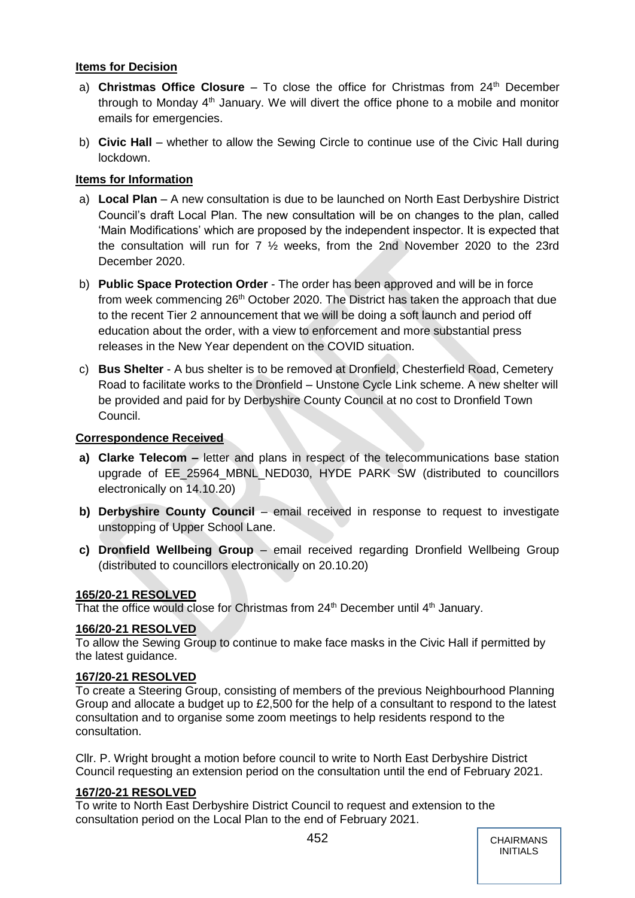## **Items for Decision**

- a) **Christmas Office Closure** To close the office for Christmas from 24<sup>th</sup> December through to Monday  $4<sup>th</sup>$  January. We will divert the office phone to a mobile and monitor emails for emergencies.
- b) **Civic Hall** whether to allow the Sewing Circle to continue use of the Civic Hall during lockdown.

## **Items for Information**

- a) **Local Plan** A new consultation is due to be launched on North East Derbyshire District Council's draft Local Plan. The new consultation will be on changes to the plan, called 'Main Modifications' which are proposed by the independent inspector. It is expected that the consultation will run for 7 ½ weeks, from the 2nd November 2020 to the 23rd December 2020.
- b) **Public Space Protection Order**  The order has been approved and will be in force from week commencing  $26<sup>th</sup>$  October 2020. The District has taken the approach that due to the recent Tier 2 announcement that we will be doing a soft launch and period off education about the order, with a view to enforcement and more substantial press releases in the New Year dependent on the COVID situation.
- c) **Bus Shelter**  A bus shelter is to be removed at Dronfield, Chesterfield Road, Cemetery Road to facilitate works to the Dronfield – Unstone Cycle Link scheme. A new shelter will be provided and paid for by Derbyshire County Council at no cost to Dronfield Town Council.

## **Correspondence Received**

- **a) Clarke Telecom –** letter and plans in respect of the telecommunications base station upgrade of EE\_25964\_MBNL\_NED030, HYDE PARK SW (distributed to councillors electronically on 14.10.20)
- **b) Derbyshire County Council** email received in response to request to investigate unstopping of Upper School Lane.
- **c) Dronfield Wellbeing Group**  email received regarding Dronfield Wellbeing Group (distributed to councillors electronically on 20.10.20)

## **165/20-21 RESOLVED**

That the office would close for Christmas from 24<sup>th</sup> December until 4<sup>th</sup> January.

## **166/20-21 RESOLVED**

To allow the Sewing Group to continue to make face masks in the Civic Hall if permitted by the latest guidance.

## **167/20-21 RESOLVED**

To create a Steering Group, consisting of members of the previous Neighbourhood Planning Group and allocate a budget up to £2,500 for the help of a consultant to respond to the latest consultation and to organise some zoom meetings to help residents respond to the consultation.

Cllr. P. Wright brought a motion before council to write to North East Derbyshire District Council requesting an extension period on the consultation until the end of February 2021.

## **167/20-21 RESOLVED**

To write to North East Derbyshire District Council to request and extension to the consultation period on the Local Plan to the end of February 2021.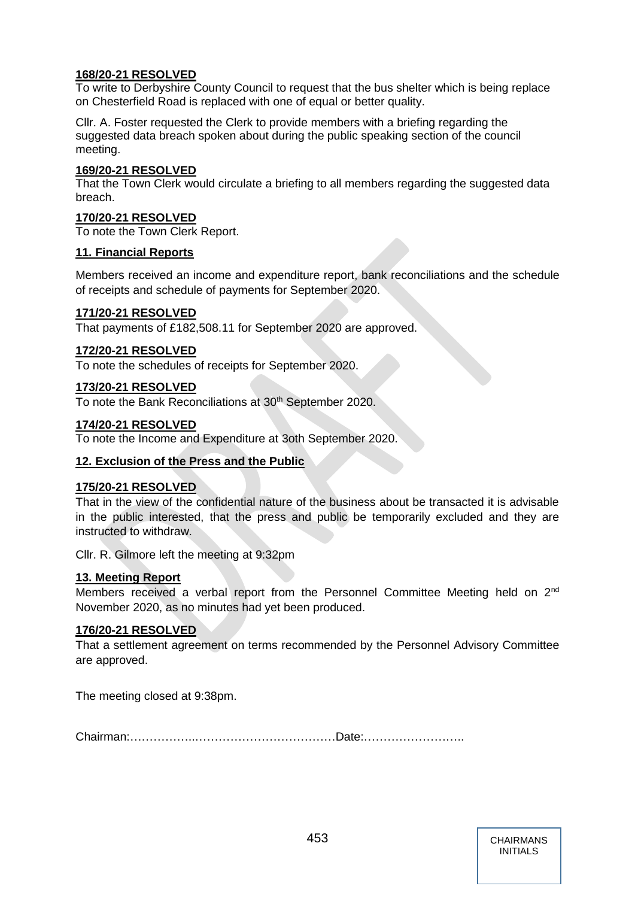## **168/20-21 RESOLVED**

To write to Derbyshire County Council to request that the bus shelter which is being replace on Chesterfield Road is replaced with one of equal or better quality.

Cllr. A. Foster requested the Clerk to provide members with a briefing regarding the suggested data breach spoken about during the public speaking section of the council meeting.

## **169/20-21 RESOLVED**

That the Town Clerk would circulate a briefing to all members regarding the suggested data breach.

## **170/20-21 RESOLVED**

To note the Town Clerk Report.

## **11. Financial Reports**

Members received an income and expenditure report, bank reconciliations and the schedule of receipts and schedule of payments for September 2020.

## **171/20-21 RESOLVED**

That payments of £182,508.11 for September 2020 are approved.

## **172/20-21 RESOLVED**

To note the schedules of receipts for September 2020.

## **173/20-21 RESOLVED**

To note the Bank Reconciliations at 30<sup>th</sup> September 2020.

## **174/20-21 RESOLVED**

To note the Income and Expenditure at 3oth September 2020.

## **12. Exclusion of the Press and the Public**

## **175/20-21 RESOLVED**

That in the view of the confidential nature of the business about be transacted it is advisable in the public interested, that the press and public be temporarily excluded and they are instructed to withdraw.

Cllr. R. Gilmore left the meeting at 9:32pm

## **13. Meeting Report**

Members received a verbal report from the Personnel Committee Meeting held on 2<sup>nd</sup> November 2020, as no minutes had yet been produced.

## **176/20-21 RESOLVED**

That a settlement agreement on terms recommended by the Personnel Advisory Committee are approved.

The meeting closed at 9:38pm.

Chairman:……………..………………………………Date:……………………..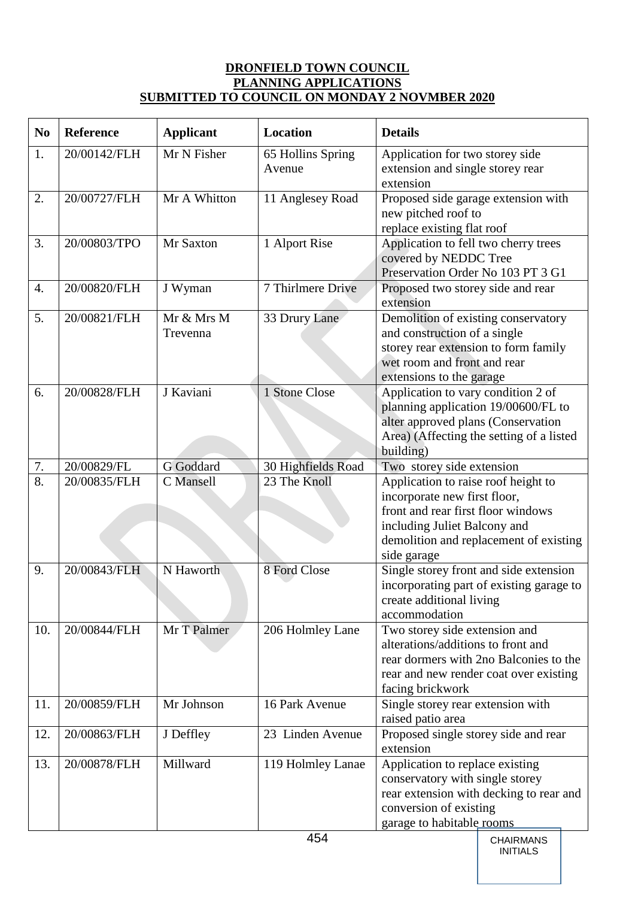# **DRONFIELD TOWN COUNCIL PLANNING APPLICATIONS SUBMITTED TO COUNCIL ON MONDAY 2 NOVMBER 2020**

| N <sub>0</sub>   | <b>Reference</b> | <b>Applicant</b>       | Location                    | <b>Details</b>                                                                                                                                                                                     |  |
|------------------|------------------|------------------------|-----------------------------|----------------------------------------------------------------------------------------------------------------------------------------------------------------------------------------------------|--|
| 1.               | 20/00142/FLH     | Mr N Fisher            | 65 Hollins Spring<br>Avenue | Application for two storey side<br>extension and single storey rear<br>extension                                                                                                                   |  |
| 2.               | 20/00727/FLH     | Mr A Whitton           | 11 Anglesey Road            | Proposed side garage extension with<br>new pitched roof to<br>replace existing flat roof                                                                                                           |  |
| 3.               | 20/00803/TPO     | Mr Saxton              | 1 Alport Rise               | Application to fell two cherry trees<br>covered by NEDDC Tree<br>Preservation Order No 103 PT 3 G1                                                                                                 |  |
| $\overline{4}$ . | 20/00820/FLH     | J Wyman                | 7 Thirlmere Drive           | Proposed two storey side and rear<br>extension                                                                                                                                                     |  |
| 5.               | 20/00821/FLH     | Mr & Mrs M<br>Trevenna | 33 Drury Lane               | Demolition of existing conservatory<br>and construction of a single<br>storey rear extension to form family<br>wet room and front and rear<br>extensions to the garage                             |  |
| 6.               | 20/00828/FLH     | J Kaviani              | 1 Stone Close               | Application to vary condition 2 of<br>planning application 19/00600/FL to<br>alter approved plans (Conservation<br>Area) (Affecting the setting of a listed<br>building)                           |  |
| $7. \,$          | 20/00829/FL      | G Goddard              | 30 Highfields Road          | Two storey side extension                                                                                                                                                                          |  |
| 8.               | 20/00835/FLH     | C Mansell              | 23 The Knoll                | Application to raise roof height to<br>incorporate new first floor,<br>front and rear first floor windows<br>including Juliet Balcony and<br>demolition and replacement of existing<br>side garage |  |
| 9.               | 20/00843/FLH     | N Haworth              | 8 Ford Close                | Single storey front and side extension<br>incorporating part of existing garage to<br>create additional living<br>accommodation                                                                    |  |
| 10.              | 20/00844/FLH     | Mr T Palmer            | 206 Holmley Lane            | Two storey side extension and<br>alterations/additions to front and<br>rear dormers with 2no Balconies to the<br>rear and new render coat over existing<br>facing brickwork                        |  |
| 11.              | 20/00859/FLH     | Mr Johnson             | 16 Park Avenue              | Single storey rear extension with<br>raised patio area                                                                                                                                             |  |
| 12.              | 20/00863/FLH     | J Deffley              | 23 Linden Avenue            | Proposed single storey side and rear<br>extension                                                                                                                                                  |  |
| 13.              | 20/00878/FLH     | Millward               | 119 Holmley Lanae<br>454    | Application to replace existing<br>conservatory with single storey<br>rear extension with decking to rear and<br>conversion of existing<br>garage to habitable rooms<br>CHAIRMANS                  |  |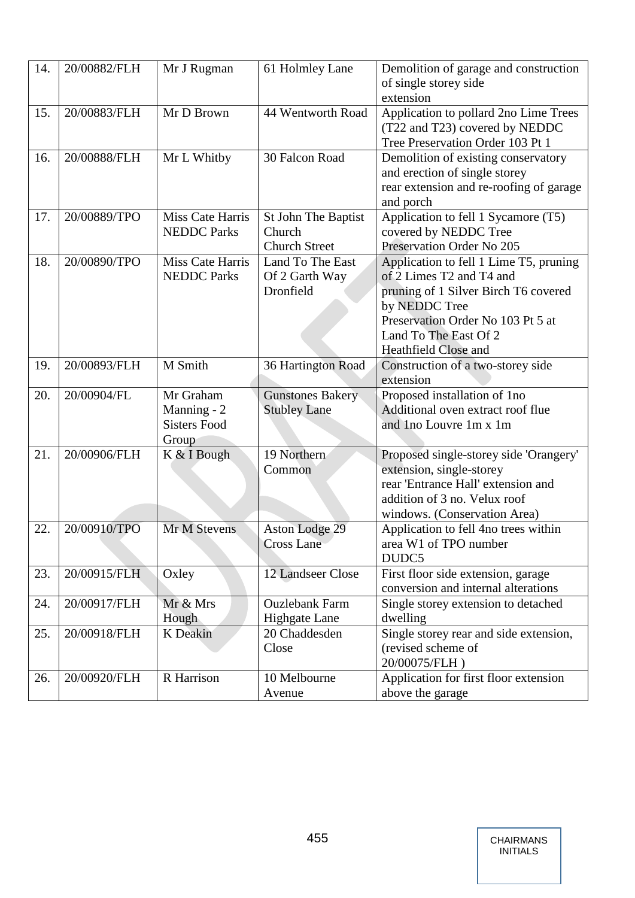| 14. | 20/00882/FLH | Mr J Rugman                                              | 61 Holmley Lane                                       | Demolition of garage and construction<br>of single storey side<br>extension                                                                                                                                       |
|-----|--------------|----------------------------------------------------------|-------------------------------------------------------|-------------------------------------------------------------------------------------------------------------------------------------------------------------------------------------------------------------------|
| 15. | 20/00883/FLH | Mr D Brown                                               | 44 Wentworth Road                                     | Application to pollard 2no Lime Trees<br>(T22 and T23) covered by NEDDC<br>Tree Preservation Order 103 Pt 1                                                                                                       |
| 16. | 20/00888/FLH | Mr L Whitby                                              | 30 Falcon Road                                        | Demolition of existing conservatory<br>and erection of single storey<br>rear extension and re-roofing of garage<br>and porch                                                                                      |
| 17. | 20/00889/TPO | Miss Cate Harris<br><b>NEDDC</b> Parks                   | St John The Baptist<br>Church<br><b>Church Street</b> | Application to fell 1 Sycamore (T5)<br>covered by NEDDC Tree<br>Preservation Order No 205                                                                                                                         |
| 18. | 20/00890/TPO | <b>Miss Cate Harris</b><br><b>NEDDC</b> Parks            | Land To The East<br>Of 2 Garth Way<br>Dronfield       | Application to fell 1 Lime T5, pruning<br>of 2 Limes T2 and T4 and<br>pruning of 1 Silver Birch T6 covered<br>by NEDDC Tree<br>Preservation Order No 103 Pt 5 at<br>Land To The East Of 2<br>Heathfield Close and |
| 19. | 20/00893/FLH | M Smith                                                  | 36 Hartington Road                                    | Construction of a two-storey side<br>extension                                                                                                                                                                    |
| 20. | 20/00904/FL  | Mr Graham<br>Manning - 2<br><b>Sisters Food</b><br>Group | <b>Gunstones Bakery</b><br><b>Stubley Lane</b>        | Proposed installation of 1no<br>Additional oven extract roof flue<br>and Ino Louvre 1m x 1m                                                                                                                       |
| 21. | 20/00906/FLH | K & I Bough                                              | 19 Northern<br>Common                                 | Proposed single-storey side 'Orangery'<br>extension, single-storey<br>rear 'Entrance Hall' extension and<br>addition of 3 no. Velux roof<br>windows. (Conservation Area)                                          |
| 22. | 20/00910/TPO | Mr M Stevens                                             | Aston Lodge 29<br><b>Cross Lane</b>                   | Application to fell 4no trees within<br>area W1 of TPO number<br>DUDC5                                                                                                                                            |
| 23. | 20/00915/FLH | Oxley                                                    | 12 Landseer Close                                     | First floor side extension, garage<br>conversion and internal alterations                                                                                                                                         |
| 24. | 20/00917/FLH | Mr & Mrs<br>Hough                                        | <b>Ouzlebank Farm</b><br><b>Highgate Lane</b>         | Single storey extension to detached<br>dwelling                                                                                                                                                                   |
| 25. | 20/00918/FLH | K Deakin                                                 | 20 Chaddesden<br>Close                                | Single storey rear and side extension,<br>(revised scheme of<br>20/00075/FLH)                                                                                                                                     |
| 26. | 20/00920/FLH | R Harrison                                               | 10 Melbourne<br>Avenue                                | Application for first floor extension<br>above the garage                                                                                                                                                         |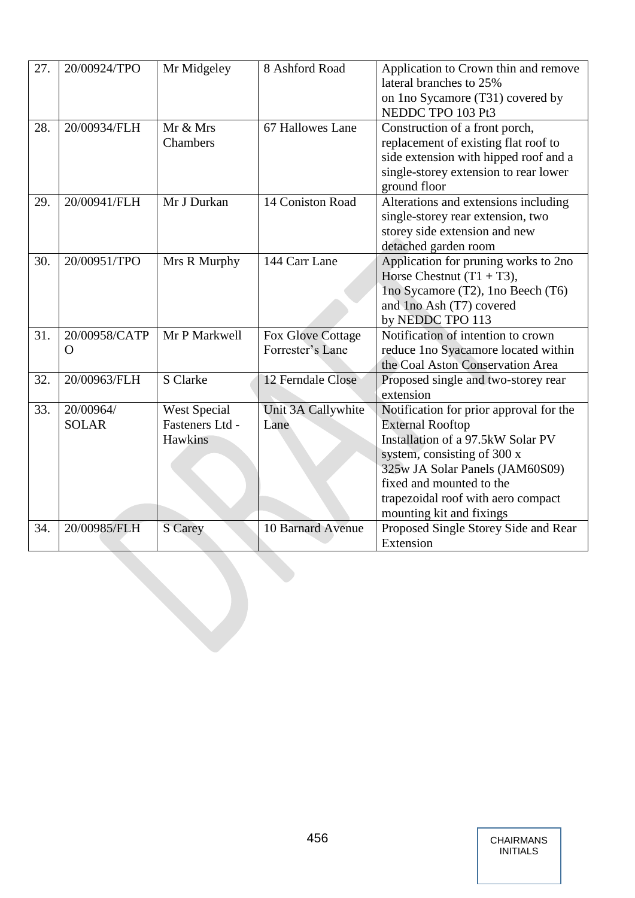| 27. | 20/00924/TPO              | Mr Midgeley                                       | 8 Ashford Road                               | Application to Crown thin and remove<br>lateral branches to 25%<br>on 1no Sycamore (T31) covered by<br>NEDDC TPO 103 Pt3                                                                                                                                                |
|-----|---------------------------|---------------------------------------------------|----------------------------------------------|-------------------------------------------------------------------------------------------------------------------------------------------------------------------------------------------------------------------------------------------------------------------------|
| 28. | 20/00934/FLH              | Mr & Mrs<br>Chambers                              | 67 Hallowes Lane                             | Construction of a front porch,<br>replacement of existing flat roof to<br>side extension with hipped roof and a<br>single-storey extension to rear lower<br>ground floor                                                                                                |
| 29. | 20/00941/FLH              | Mr J Durkan                                       | 14 Coniston Road                             | Alterations and extensions including<br>single-storey rear extension, two<br>storey side extension and new<br>detached garden room                                                                                                                                      |
| 30. | 20/00951/TPO              | Mrs R Murphy                                      | 144 Carr Lane                                | Application for pruning works to 2no<br>Horse Chestnut $(T1 + T3)$ ,<br>Ino Sycamore (T2), 1no Beech (T6)<br>and 1no Ash (T7) covered<br>by NEDDC TPO 113                                                                                                               |
| 31. | 20/00958/CATP<br>$\Omega$ | Mr P Markwell                                     | <b>Fox Glove Cottage</b><br>Forrester's Lane | Notification of intention to crown<br>reduce 1no Syacamore located within<br>the Coal Aston Conservation Area                                                                                                                                                           |
| 32. | 20/00963/FLH              | S Clarke                                          | 12 Ferndale Close                            | Proposed single and two-storey rear<br>extension                                                                                                                                                                                                                        |
| 33. | 20/00964/<br><b>SOLAR</b> | <b>West Special</b><br>Fasteners Ltd -<br>Hawkins | Unit 3A Callywhite<br>Lane                   | Notification for prior approval for the<br><b>External Rooftop</b><br>Installation of a 97.5kW Solar PV<br>system, consisting of 300 x<br>325w JA Solar Panels (JAM60S09)<br>fixed and mounted to the<br>trapezoidal roof with aero compact<br>mounting kit and fixings |
| 34. | 20/00985/FLH              | S Carey                                           | 10 Barnard Avenue                            | Proposed Single Storey Side and Rear<br>Extension                                                                                                                                                                                                                       |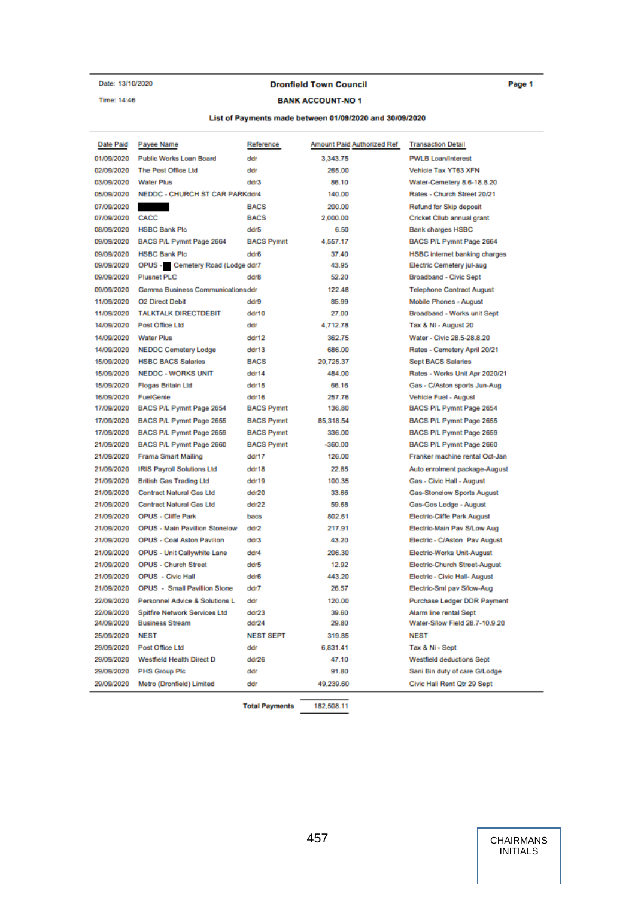Date: 13/10/2020 Time: 14:46

#### **Dronfield Town Council**

Page 1

## **BANK ACCOUNT-NO 1**

#### List of Payments made between 01/09/2020 and 30/09/2020

| Date Paid  | Payee Name                            | Reference         | Amount Paid Authorized Ref | <b>Transaction Detail</b>            |
|------------|---------------------------------------|-------------------|----------------------------|--------------------------------------|
| 01/09/2020 | <b>Public Works Loan Board</b>        | ddr               | 3.343.75                   | <b>PWLB Loan/Interest</b>            |
| 02/09/2020 | The Post Office Ltd                   | ddr               | 265.00                     | Vehicle Tax YT63 XFN                 |
| 03/09/2020 | <b>Water Plus</b>                     | ddr3              | 86.10                      | Water-Cemetery 8.6-18.8.20           |
| 05/09/2020 | <b>NEDDC - CHURCH ST CAR PARKddr4</b> |                   | 140.00                     | Rates - Church Street 20/21          |
| 07/09/2020 |                                       | <b>BACS</b>       | 200.00                     | Refund for Skip deposit              |
| 07/09/2020 | CACC                                  | <b>BACS</b>       | 2,000.00                   | Cricket Cllub annual grant           |
| 08/09/2020 | <b>HSBC Bank Plc</b>                  | ddr5              | 6.50                       | <b>Bank charges HSBC</b>             |
| 09/09/2020 | BACS P/L Pymnt Page 2664              | <b>BACS Pymnt</b> | 4,557.17                   | BACS P/L Pymnt Page 2664             |
| 09/09/2020 | <b>HSBC Bank Plc</b>                  | ddr6              | 37.40                      | <b>HSBC</b> internet banking charges |
| 09/09/2020 | OPUS - Cemetery Road (Lodge ddr7      |                   | 43.95                      | Electric Cemetery jul-aug            |
| 09/09/2020 | <b>Plusnet PLC</b>                    | ddr8              | 52.20                      | <b>Broadband - Civic Sept</b>        |
| 09/09/2020 | Gamma Business Communications ddr     |                   | 122.48                     | <b>Telephone Contract August</b>     |
| 11/09/2020 | <b>O2 Direct Debit</b>                | ddr9              | 85.99                      | Mobile Phones - August               |
| 11/09/2020 | <b>TALKTALK DIRECTDEBIT</b>           | ddr10             | 27.00                      | Broadband - Works unit Sept          |
| 14/09/2020 | Post Office Ltd                       | ddr               | 4,712.78                   | Tax & NI - August 20                 |
| 14/09/2020 | <b>Water Plus</b>                     | ddr12             | 362.75                     | Water - Civic 28.5-28.8.20           |
| 14/09/2020 | <b>NEDDC Cemetery Lodge</b>           | ddr13             | 686.00                     | Rates - Cemetery April 20/21         |
| 15/09/2020 | <b>HSBC BACS Salaries</b>             | <b>BACS</b>       | 20,725.37                  | <b>Sept BACS Salaries</b>            |
| 15/09/2020 | <b>NEDDC - WORKS UNIT</b>             | ddr14             | 484.00                     | Rates - Works Unit Apr 2020/21       |
| 15/09/2020 | Flogas Britain Ltd                    | ddr15             | 66.16                      | Gas - C/Aston sports Jun-Aug         |
| 16/09/2020 | FuelGenie                             | ddr16             | 257.76                     | Vehicle Fuel - August                |
| 17/09/2020 | BACS P/L Pymnt Page 2654              | <b>BACS Pymnt</b> | 136.80                     | BACS P/L Pymnt Page 2654             |
| 17/09/2020 | BACS P/L Pymnt Page 2655              | <b>BACS Pymnt</b> | 85,318.54                  | BACS P/L Pymnt Page 2655             |
| 17/09/2020 | BACS P/L Pymnt Page 2659              | <b>BACS Pymnt</b> | 336.00                     | BACS P/L Pymnt Page 2659             |
| 21/09/2020 | BACS P/L Pymnt Page 2660              | <b>BACS Pymnt</b> | $-360.00$                  | BACS P/L Pymnt Page 2660             |
| 21/09/2020 | <b>Frama Smart Mailing</b>            | ddr17             | 126.00                     | Franker machine rental Oct-Jan       |
| 21/09/2020 | <b>IRIS Payroll Solutions Ltd</b>     | ddr18             | 22.85                      | Auto enrolment package-August        |
| 21/09/2020 | <b>British Gas Trading Ltd</b>        | ddr19             | 100.35                     | Gas - Civic Hall - August            |
| 21/09/2020 | <b>Contract Natural Gas Ltd</b>       | ddr20             | 33.66                      | Gas-Stonelow Sports August           |
| 21/09/2020 | <b>Contract Natural Gas Ltd</b>       | ddr22             | 59.68                      | Gas-Gos Lodge - August               |
| 21/09/2020 | OPUS - Cliffe Park                    | bacs              | 802.61                     | <b>Electric-Cliffe Park August</b>   |
| 21/09/2020 | <b>OPUS - Main Pavillion Stonelow</b> | ddr2              | 217.91                     | Electric-Main Pav S/Low Aug          |
| 21/09/2020 | OPUS - Coal Aston Pavilion            | ddr3              | 43.20                      | Electric - C/Aston Pav August        |
| 21/09/2020 | OPUS - Unit Callywhite Lane           | ddr4              | 206.30                     | <b>Electric-Works Unit-August</b>    |
| 21/09/2020 | <b>OPUS - Church Street</b>           | ddr5              | 12.92                      | Electric-Church Street-August        |
| 21/09/2020 | <b>OPUS</b> - Civic Hall              | ddr6              | 443.20                     | Electric - Civic Hall- August        |
| 21/09/2020 | OPUS - Small Pavillion Stone          | ddr7              | 26.57                      | Electric-Sml pav S/low-Aug           |
| 22/09/2020 | Personnel Advice & Solutions L        | ddr               | 120.00                     | Purchase Ledger DDR Payment          |
| 22/09/2020 | Spitfire Network Services Ltd         | ddr23             | 39.60                      | Alarm line rental Sept               |
| 24/09/2020 | <b>Business Stream</b>                | ddr24             | 29.80                      | Water-S/low Field 28.7-10.9.20       |
| 25/09/2020 | <b>NEST</b>                           | <b>NEST SEPT</b>  | 319.85                     | <b>NEST</b>                          |
| 29/09/2020 | Post Office Ltd                       | ddr               | 6,831.41                   | Tax & Ni - Sept                      |
| 29/09/2020 | Westfield Health Direct D             | ddr26             | 47.10                      | <b>Westfield deductions Sept</b>     |
| 29/09/2020 | <b>PHS Group Plc</b>                  | ddr               | 91.80                      | Sani Bin duty of care G/Lodge        |
| 29/09/2020 | Metro (Dronfield) Limited             | ddr               | 49,239.60                  | Civic Hall Rent Qtr 29 Sept          |

**Total Payments** 

182,508.11